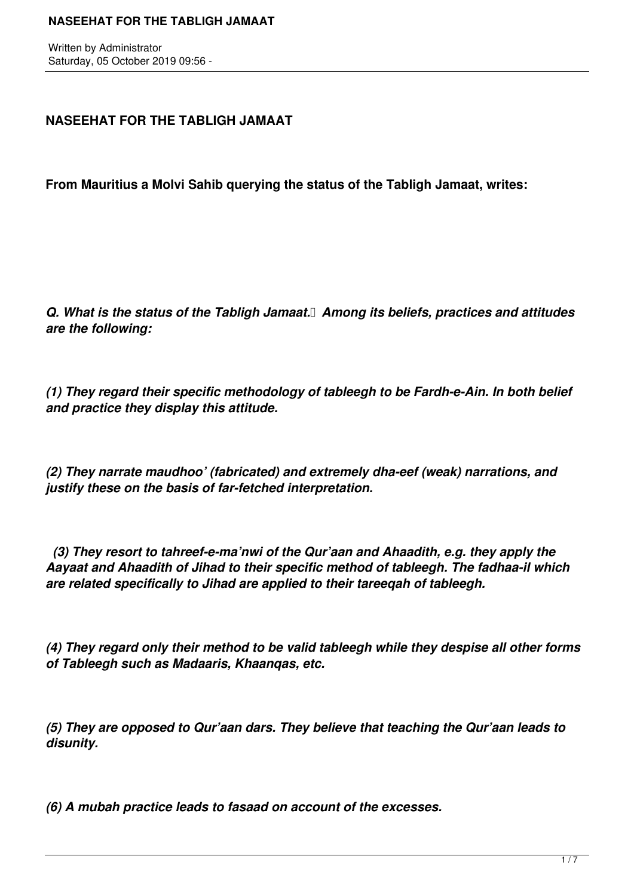Written by Administrator Saturday, 05 October 2019 09:56 -

# **NASEEHAT FOR THE TABLIGH JAMAAT**

**From Mauritius a Molvi Sahib querying the status of the Tabligh Jamaat, writes:**

*Q. What is the status of the Tabligh Jamaat. Among its beliefs, practices and attitudes are the following:*

*(1) They regard their specific methodology of tableegh to be Fardh-e-Ain. In both belief and practice they display this attitude.*

*(2) They narrate maudhoo' (fabricated) and extremely dha-eef (weak) narrations, and justify these on the basis of far-fetched interpretation.*

 *(3) They resort to tahreef-e-ma'nwi of the Qur'aan and Ahaadith, e.g. they apply the Aayaat and Ahaadith of Jihad to their specific method of tableegh. The fadhaa-il which are related specifically to Jihad are applied to their tareeqah of tableegh.*

*(4) They regard only their method to be valid tableegh while they despise all other forms of Tableegh such as Madaaris, Khaanqas, etc.*

*(5) They are opposed to Qur'aan dars. They believe that teaching the Qur'aan leads to disunity.*

*(6) A mubah practice leads to fasaad on account of the excesses.*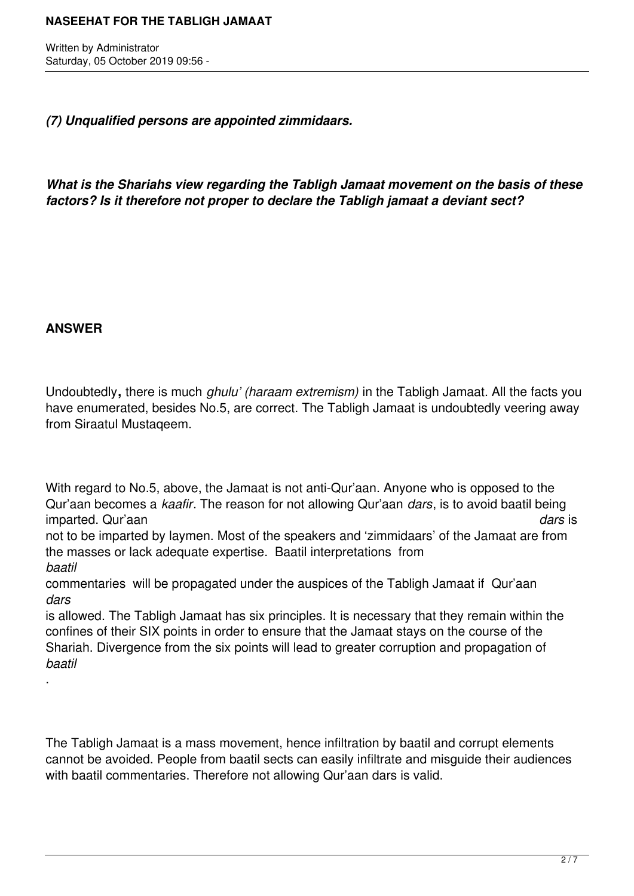Written by Administrator Saturday, 05 October 2019 09:56 -

*(7) Unqualified persons are appointed zimmidaars.*

*What is the Shariahs view regarding the Tabligh Jamaat movement on the basis of these factors? Is it therefore not proper to declare the Tabligh jamaat a deviant sect?*

# **ANSWER**

.

Undoubtedly**,** there is much *ghulu' (haraam extremism)* in the Tabligh Jamaat. All the facts you have enumerated, besides No.5, are correct. The Tabligh Jamaat is undoubtedly veering away from Siraatul Mustaqeem.

With regard to No.5, above, the Jamaat is not anti-Qur'aan. Anyone who is opposed to the Qur'aan becomes a *kaafir*. The reason for not allowing Qur'aan *dars*, is to avoid baatil being imparted. Qur'aan *dars* is

not to be imparted by laymen. Most of the speakers and 'zimmidaars' of the Jamaat are from the masses or lack adequate expertise. Baatil interpretations from *baatil*

commentaries will be propagated under the auspices of the Tabligh Jamaat if Qur'aan *dars*

is allowed. The Tabligh Jamaat has six principles. It is necessary that they remain within the confines of their SIX points in order to ensure that the Jamaat stays on the course of the Shariah. Divergence from the six points will lead to greater corruption and propagation of *baatil*

The Tabligh Jamaat is a mass movement, hence infiltration by baatil and corrupt elements cannot be avoided. People from baatil sects can easily infiltrate and misguide their audiences with baatil commentaries. Therefore not allowing Qur'aan dars is valid.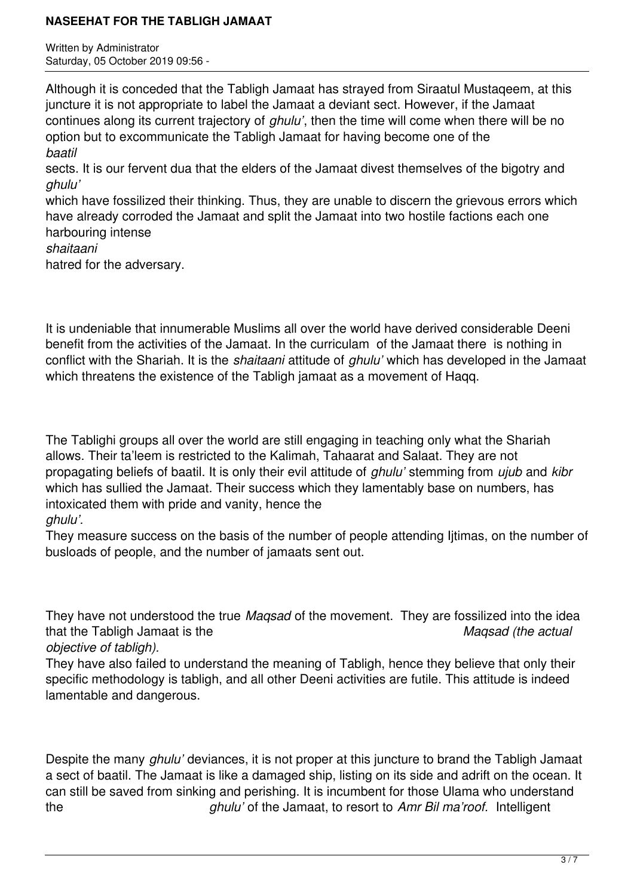Written by Administrator Saturday, 05 October 2019 09:56 -

Although it is conceded that the Tabligh Jamaat has strayed from Siraatul Mustaqeem, at this juncture it is not appropriate to label the Jamaat a deviant sect. However, if the Jamaat continues along its current trajectory of *ghulu'*, then the time will come when there will be no option but to excommunicate the Tabligh Jamaat for having become one of the *baatil* sects. It is our fervent dua that the elders of the Jamaat divest themselves of the bigotry and *ghulu'* which have fossilized their thinking. Thus, they are unable to discern the grievous errors which

have already corroded the Jamaat and split the Jamaat into two hostile factions each one harbouring intense

#### *shaitaani*

hatred for the adversary.

It is undeniable that innumerable Muslims all over the world have derived considerable Deeni benefit from the activities of the Jamaat. In the curriculam of the Jamaat there is nothing in conflict with the Shariah. It is the *shaitaani* attitude of *ghulu'* which has developed in the Jamaat which threatens the existence of the Tabligh jamaat as a movement of Haqq.

The Tablighi groups all over the world are still engaging in teaching only what the Shariah allows. Their ta'leem is restricted to the Kalimah, Tahaarat and Salaat. They are not propagating beliefs of baatil. It is only their evil attitude of *ghulu'* stemming from *ujub* and *kibr* which has sullied the Jamaat. Their success which they lamentably base on numbers, has intoxicated them with pride and vanity, hence the *ghulu'.*

# They measure success on the basis of the number of people attending Ijtimas, on the number of busloads of people, and the number of jamaats sent out.

They have not understood the true *Maqsad* of the movement. They are fossilized into the idea that the Tabligh Jamaat is the *Maqsad (the actual*

*objective of tabligh).* 

They have also failed to understand the meaning of Tabligh, hence they believe that only their specific methodology is tabligh, and all other Deeni activities are futile. This attitude is indeed lamentable and dangerous.

Despite the many *ghulu'* deviances, it is not proper at this juncture to brand the Tabligh Jamaat a sect of baatil. The Jamaat is like a damaged ship, listing on its side and adrift on the ocean. It can still be saved from sinking and perishing. It is incumbent for those Ulama who understand the *ghulu'* of the Jamaat, to resort to *Amr Bil ma'roof.* Intelligent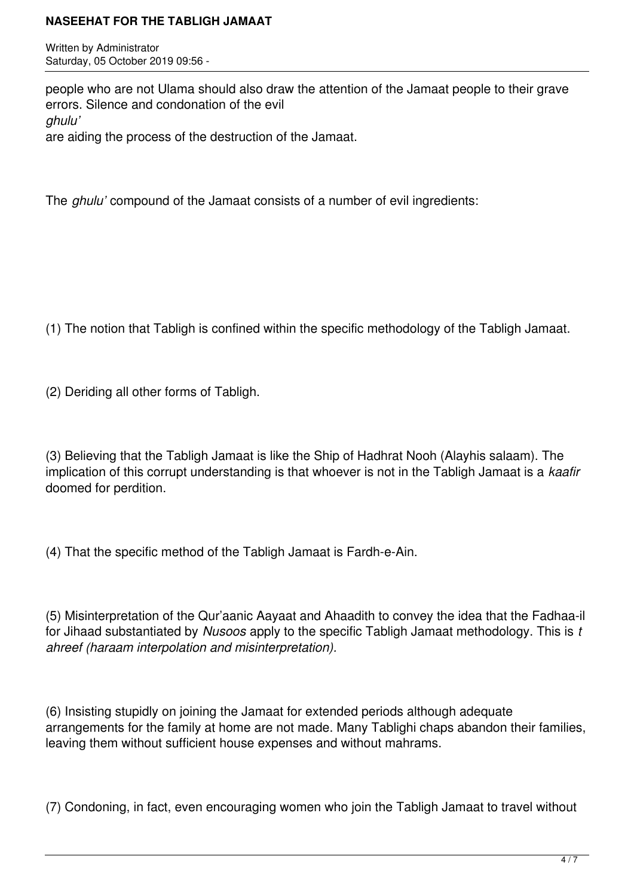Written by Administrator Saturday, 05 October 2019 09:56 -

people who are not Ulama should also draw the attention of the Jamaat people to their grave errors. Silence and condonation of the evil *ghulu'* are aiding the process of the destruction of the Jamaat.

The *ghulu'* compound of the Jamaat consists of a number of evil ingredients:

(1) The notion that Tabligh is confined within the specific methodology of the Tabligh Jamaat.

(2) Deriding all other forms of Tabligh.

(3) Believing that the Tabligh Jamaat is like the Ship of Hadhrat Nooh (Alayhis salaam). The implication of this corrupt understanding is that whoever is not in the Tabligh Jamaat is a *kaafir* doomed for perdition.

(4) That the specific method of the Tabligh Jamaat is Fardh-e-Ain.

(5) Misinterpretation of the Qur'aanic Aayaat and Ahaadith to convey the idea that the Fadhaa-il for Jihaad substantiated by *Nusoos* apply to the specific Tabligh Jamaat methodology. This is *t ahreef (haraam interpolation and misinterpretation).*

(6) Insisting stupidly on joining the Jamaat for extended periods although adequate arrangements for the family at home are not made. Many Tablighi chaps abandon their families, leaving them without sufficient house expenses and without mahrams.

(7) Condoning, in fact, even encouraging women who join the Tabligh Jamaat to travel without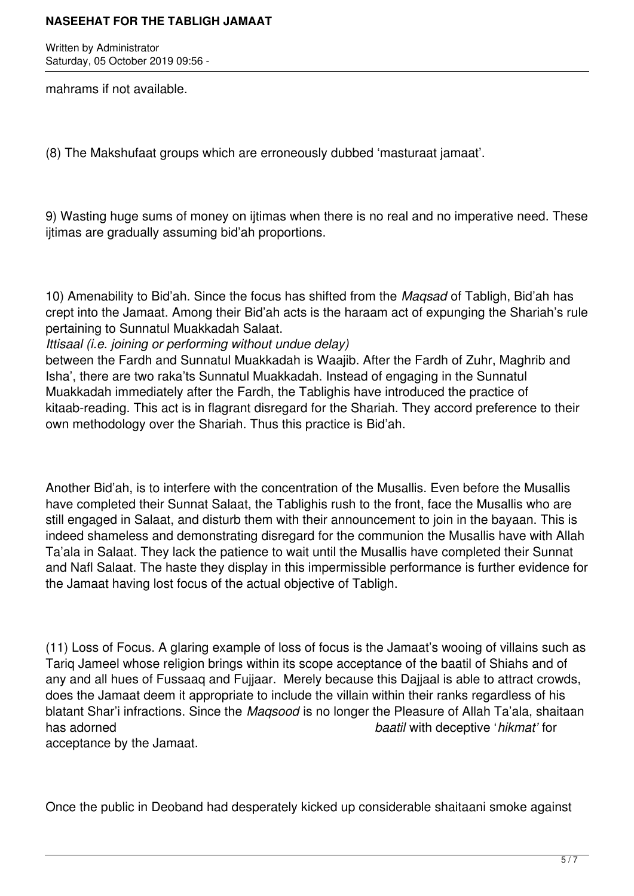Written by Administrator Saturday, 05 October 2019 09:56 -

mahrams if not available.

(8) The Makshufaat groups which are erroneously dubbed 'masturaat jamaat'.

9) Wasting huge sums of money on ijtimas when there is no real and no imperative need. These ijtimas are gradually assuming bid'ah proportions.

10) Amenability to Bid'ah. Since the focus has shifted from the *Maqsad* of Tabligh, Bid'ah has crept into the Jamaat. Among their Bid'ah acts is the haraam act of expunging the Shariah's rule pertaining to Sunnatul Muakkadah Salaat.

*Ittisaal (i.e. joining or performing without undue delay)*

between the Fardh and Sunnatul Muakkadah is Waajib. After the Fardh of Zuhr, Maghrib and Isha', there are two raka'ts Sunnatul Muakkadah. Instead of engaging in the Sunnatul Muakkadah immediately after the Fardh, the Tablighis have introduced the practice of kitaab-reading. This act is in flagrant disregard for the Shariah. They accord preference to their own methodology over the Shariah. Thus this practice is Bid'ah.

Another Bid'ah, is to interfere with the concentration of the Musallis. Even before the Musallis have completed their Sunnat Salaat, the Tablighis rush to the front, face the Musallis who are still engaged in Salaat, and disturb them with their announcement to join in the bayaan. This is indeed shameless and demonstrating disregard for the communion the Musallis have with Allah Ta'ala in Salaat. They lack the patience to wait until the Musallis have completed their Sunnat and Nafl Salaat. The haste they display in this impermissible performance is further evidence for the Jamaat having lost focus of the actual objective of Tabligh.

(11) Loss of Focus. A glaring example of loss of focus is the Jamaat's wooing of villains such as Tariq Jameel whose religion brings within its scope acceptance of the baatil of Shiahs and of any and all hues of Fussaaq and Fujjaar. Merely because this Dajjaal is able to attract crowds, does the Jamaat deem it appropriate to include the villain within their ranks regardless of his blatant Shar'i infractions. Since the *Maqsood* is no longer the Pleasure of Allah Ta'ala, shaitaan has adorned *baatil* with deceptive '*hikmat'* for

acceptance by the Jamaat.

Once the public in Deoband had desperately kicked up considerable shaitaani smoke against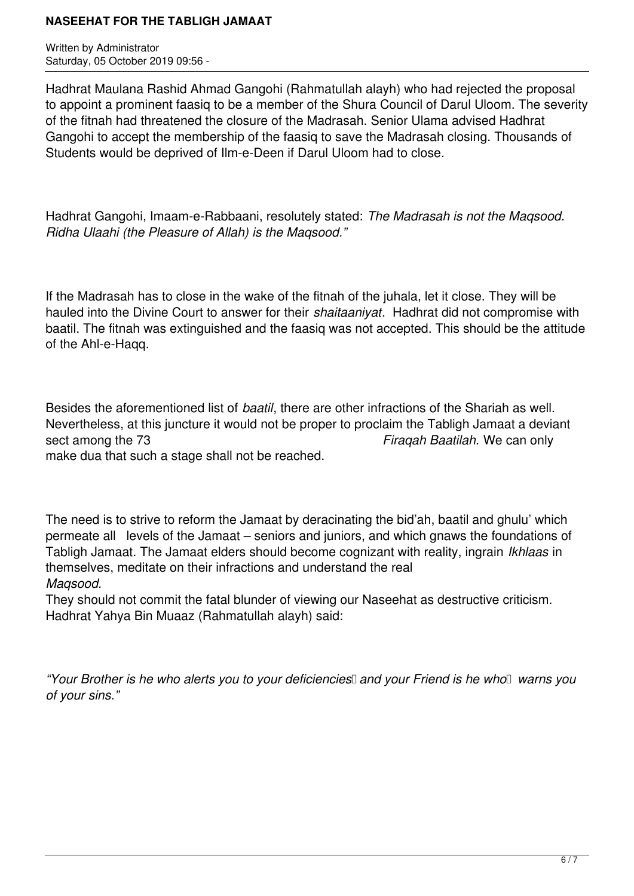Written by Administrator Saturday, 05 October 2019 09:56 -

Hadhrat Maulana Rashid Ahmad Gangohi (Rahmatullah alayh) who had rejected the proposal to appoint a prominent faasiq to be a member of the Shura Council of Darul Uloom. The severity of the fitnah had threatened the closure of the Madrasah. Senior Ulama advised Hadhrat Gangohi to accept the membership of the faasiq to save the Madrasah closing. Thousands of Students would be deprived of Ilm-e-Deen if Darul Uloom had to close.

Hadhrat Gangohi, Imaam-e-Rabbaani, resolutely stated: *The Madrasah is not the Maqsood. Ridha Ulaahi (the Pleasure of Allah) is the Maqsood."*

If the Madrasah has to close in the wake of the fitnah of the juhala, let it close. They will be hauled into the Divine Court to answer for their *shaitaaniyat*. Hadhrat did not compromise with baatil. The fitnah was extinguished and the faasiq was not accepted. This should be the attitude of the Ahl-e-Haqq.

Besides the aforementioned list of *baatil*, there are other infractions of the Shariah as well. Nevertheless, at this juncture it would not be proper to proclaim the Tabligh Jamaat a deviant sect among the 73 *Firaqah Baatilah.* We can only make dua that such a stage shall not be reached.

The need is to strive to reform the Jamaat by deracinating the bid'ah, baatil and ghulu' which permeate all levels of the Jamaat – seniors and juniors, and which gnaws the foundations of Tabligh Jamaat. The Jamaat elders should become cognizant with reality, ingrain *Ikhlaas* in themselves, meditate on their infractions and understand the real *Maqsood.*

They should not commit the fatal blunder of viewing our Naseehat as destructive criticism. Hadhrat Yahya Bin Muaaz (Rahmatullah alayh) said:

*"Your Brother is he who alerts you to your deficiencies* and your Friend is he who warns you *of your sins."*